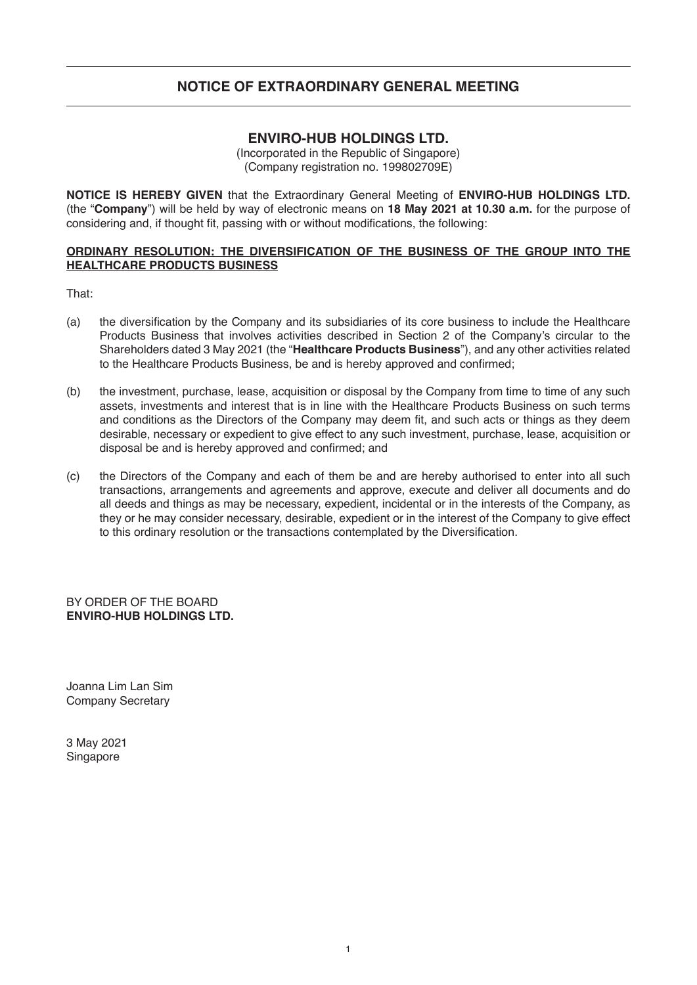### **ENVIRO-HUB HOLDINGS LTD.**

(Incorporated in the Republic of Singapore) (Company registration no. 199802709E)

**NOTICE IS HEREBY GIVEN** that the Extraordinary General Meeting of **ENVIRO-HUB HOLDINGS LTD.** (the "**Company**") will be held by way of electronic means on **18 May 2021 at 10.30 a.m.** for the purpose of considering and, if thought fit, passing with or without modifications, the following:

#### **ORDINARY RESOLUTION: THE DIVERSIFICATION OF THE BUSINESS OF THE GROUP INTO THE HEALTHCARE PRODUCTS BUSINESS**

That:

- (a) the diversification by the Company and its subsidiaries of its core business to include the Healthcare Products Business that involves activities described in Section 2 of the Company's circular to the Shareholders dated 3 May 2021 (the "**Healthcare Products Business**"), and any other activities related to the Healthcare Products Business, be and is hereby approved and confirmed;
- (b) the investment, purchase, lease, acquisition or disposal by the Company from time to time of any such assets, investments and interest that is in line with the Healthcare Products Business on such terms and conditions as the Directors of the Company may deem fit, and such acts or things as they deem desirable, necessary or expedient to give effect to any such investment, purchase, lease, acquisition or disposal be and is hereby approved and confirmed; and
- (c) the Directors of the Company and each of them be and are hereby authorised to enter into all such transactions, arrangements and agreements and approve, execute and deliver all documents and do all deeds and things as may be necessary, expedient, incidental or in the interests of the Company, as they or he may consider necessary, desirable, expedient or in the interest of the Company to give effect to this ordinary resolution or the transactions contemplated by the Diversification.

BY ORDER OF THE BOARD **ENVIRO-HUB HOLDINGS LTD.**

Joanna Lim Lan Sim Company Secretary

3 May 2021 Singapore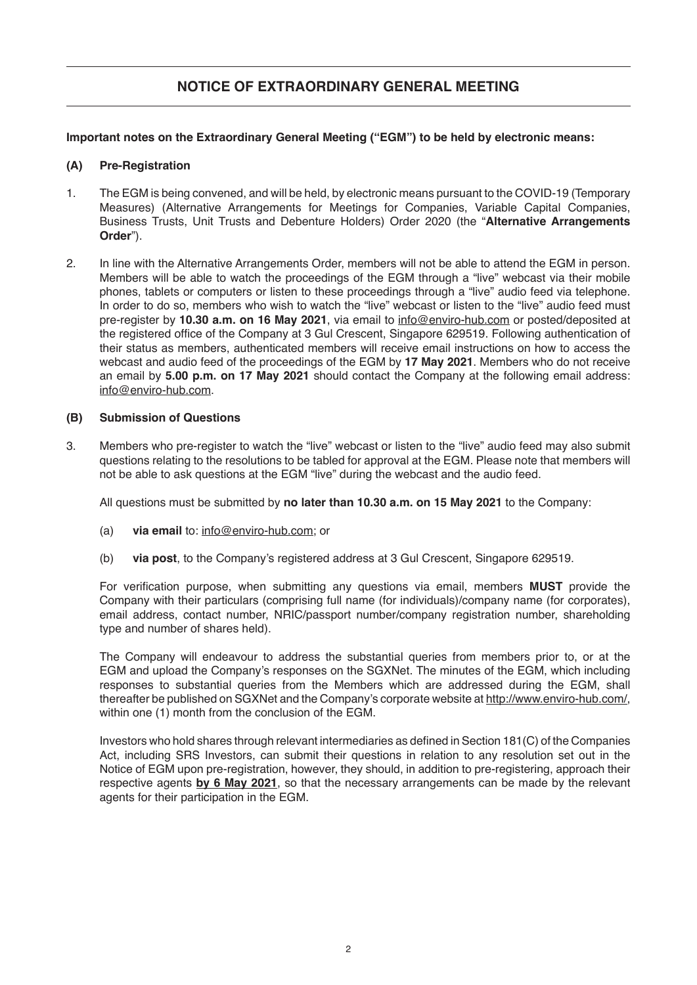### **Important notes on the Extraordinary General Meeting ("EGM") to be held by electronic means:**

### **(A) Pre-Registration**

- 1. The EGM is being convened, and will be held, by electronic means pursuant to the COVID-19 (Temporary Measures) (Alternative Arrangements for Meetings for Companies, Variable Capital Companies, Business Trusts, Unit Trusts and Debenture Holders) Order 2020 (the "**Alternative Arrangements Order**").
- 2. In line with the Alternative Arrangements Order, members will not be able to attend the EGM in person. Members will be able to watch the proceedings of the EGM through a "live" webcast via their mobile phones, tablets or computers or listen to these proceedings through a "live" audio feed via telephone. In order to do so, members who wish to watch the "live" webcast or listen to the "live" audio feed must pre-register by **10.30 a.m. on 16 May 2021**, via email to info@enviro-hub.com or posted/deposited at the registered office of the Company at 3 Gul Crescent, Singapore 629519. Following authentication of their status as members, authenticated members will receive email instructions on how to access the webcast and audio feed of the proceedings of the EGM by **17 May 2021**. Members who do not receive an email by **5.00 p.m. on 17 May 2021** should contact the Company at the following email address: info@enviro-hub.com.

### **(B) Submission of Questions**

3. Members who pre-register to watch the "live" webcast or listen to the "live" audio feed may also submit questions relating to the resolutions to be tabled for approval at the EGM. Please note that members will not be able to ask questions at the EGM "live" during the webcast and the audio feed.

All questions must be submitted by **no later than 10.30 a.m. on 15 May 2021** to the Company:

- (a) **via email** to: info@enviro-hub.com; or
- (b) **via post**, to the Company's registered address at 3 Gul Crescent, Singapore 629519.

For verification purpose, when submitting any questions via email, members **MUST** provide the Company with their particulars (comprising full name (for individuals)/company name (for corporates), email address, contact number, NRIC/passport number/company registration number, shareholding type and number of shares held).

The Company will endeavour to address the substantial queries from members prior to, or at the EGM and upload the Company's responses on the SGXNet. The minutes of the EGM, which including responses to substantial queries from the Members which are addressed during the EGM, shall thereafter be published on SGXNet and the Company's corporate website at http://www.enviro-hub.com/, within one (1) month from the conclusion of the EGM.

Investors who hold shares through relevant intermediaries as defined in Section 181(C) of the Companies Act, including SRS Investors, can submit their questions in relation to any resolution set out in the Notice of EGM upon pre-registration, however, they should, in addition to pre-registering, approach their respective agents **by 6 May 2021**, so that the necessary arrangements can be made by the relevant agents for their participation in the EGM.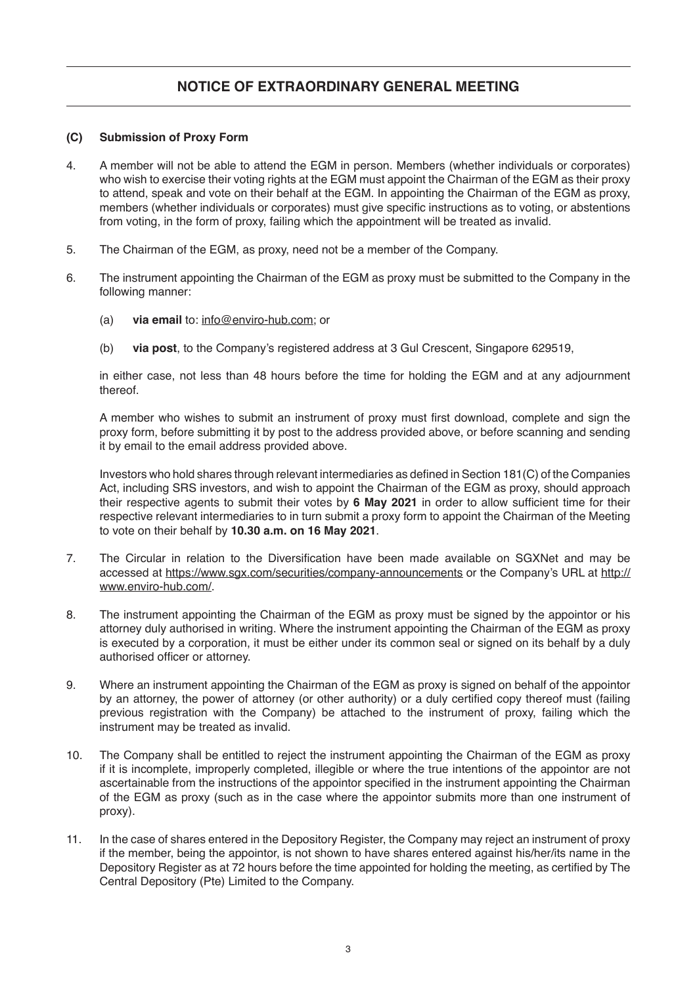#### **(C) Submission of Proxy Form**

- 4. A member will not be able to attend the EGM in person. Members (whether individuals or corporates) who wish to exercise their voting rights at the EGM must appoint the Chairman of the EGM as their proxy to attend, speak and vote on their behalf at the EGM. In appointing the Chairman of the EGM as proxy, members (whether individuals or corporates) must give specific instructions as to voting, or abstentions from voting, in the form of proxy, failing which the appointment will be treated as invalid.
- 5. The Chairman of the EGM, as proxy, need not be a member of the Company.
- 6. The instrument appointing the Chairman of the EGM as proxy must be submitted to the Company in the following manner:
	- (a) **via email** to: info@enviro-hub.com; or
	- (b) **via post**, to the Company's registered address at 3 Gul Crescent, Singapore 629519,

in either case, not less than 48 hours before the time for holding the EGM and at any adjournment thereof.

A member who wishes to submit an instrument of proxy must first download, complete and sign the proxy form, before submitting it by post to the address provided above, or before scanning and sending it by email to the email address provided above.

Investors who hold shares through relevant intermediaries as defined in Section 181(C) of the Companies Act, including SRS investors, and wish to appoint the Chairman of the EGM as proxy, should approach their respective agents to submit their votes by **6 May 2021** in order to allow sufficient time for their respective relevant intermediaries to in turn submit a proxy form to appoint the Chairman of the Meeting to vote on their behalf by **10.30 a.m. on 16 May 2021**.

- 7. The Circular in relation to the Diversification have been made available on SGXNet and may be accessed at https://www.sgx.com/securities/company-announcements or the Company's URL at http:// www.enviro-hub.com/.
- 8. The instrument appointing the Chairman of the EGM as proxy must be signed by the appointor or his attorney duly authorised in writing. Where the instrument appointing the Chairman of the EGM as proxy is executed by a corporation, it must be either under its common seal or signed on its behalf by a duly authorised officer or attorney.
- 9. Where an instrument appointing the Chairman of the EGM as proxy is signed on behalf of the appointor by an attorney, the power of attorney (or other authority) or a duly certified copy thereof must (failing previous registration with the Company) be attached to the instrument of proxy, failing which the instrument may be treated as invalid.
- 10. The Company shall be entitled to reject the instrument appointing the Chairman of the EGM as proxy if it is incomplete, improperly completed, illegible or where the true intentions of the appointor are not ascertainable from the instructions of the appointor specified in the instrument appointing the Chairman of the EGM as proxy (such as in the case where the appointor submits more than one instrument of proxy).
- 11. In the case of shares entered in the Depository Register, the Company may reject an instrument of proxy if the member, being the appointor, is not shown to have shares entered against his/her/its name in the Depository Register as at 72 hours before the time appointed for holding the meeting, as certified by The Central Depository (Pte) Limited to the Company.